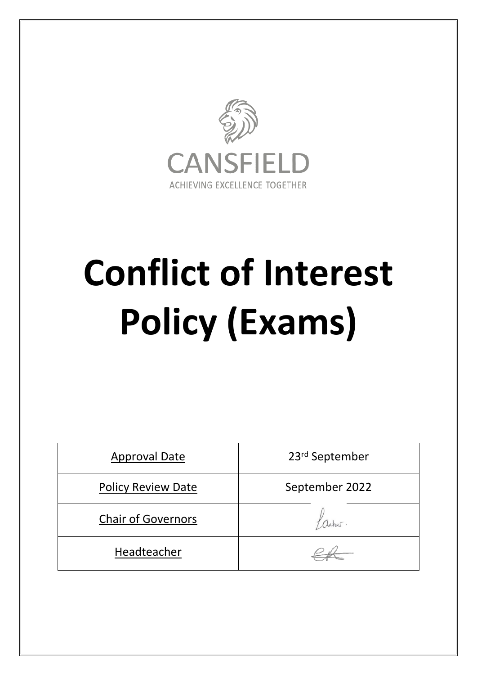

# **Conflict of Interest Policy (Exams)**

| <b>Approval Date</b>      | 23rd September |
|---------------------------|----------------|
| <b>Policy Review Date</b> | September 2022 |
| <b>Chair of Governors</b> |                |
| Headteacher               |                |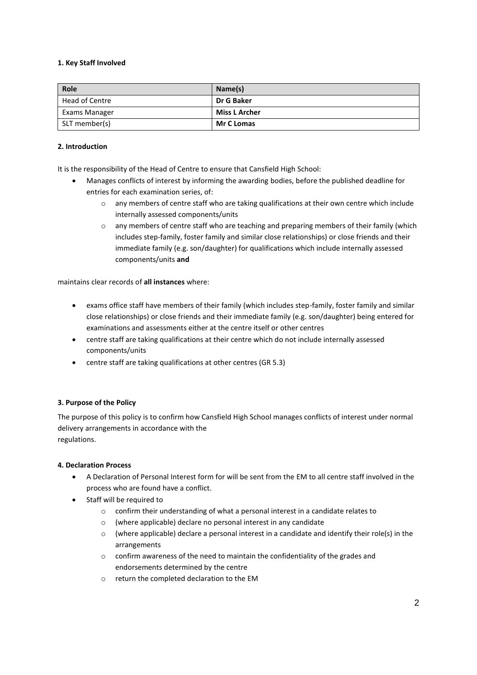#### **1. Key Staff Involved**

| Role           | Name(s)              |
|----------------|----------------------|
| Head of Centre | Dr G Baker           |
| Exams Manager  | <b>Miss L Archer</b> |
| SLT member(s)  | <b>Mr C Lomas</b>    |

#### **2. Introduction**

It is the responsibility of the Head of Centre to ensure that Cansfield High School:

- Manages conflicts of interest by informing the awarding bodies, before the published deadline for entries for each examination series, of:
	- o any members of centre staff who are taking qualifications at their own centre which include internally assessed components/units
	- o any members of centre staff who are teaching and preparing members of their family (which includes step-family, foster family and similar close relationships) or close friends and their immediate family (e.g. son/daughter) for qualifications which include internally assessed components/units **and**

maintains clear records of **all instances** where:

- exams office staff have members of their family (which includes step-family, foster family and similar close relationships) or close friends and their immediate family (e.g. son/daughter) being entered for examinations and assessments either at the centre itself or other centres
- centre staff are taking qualifications at their centre which do not include internally assessed components/units
- centre staff are taking qualifications at other centres (GR 5.3)

#### **3. Purpose of the Policy**

The purpose of this policy is to confirm how Cansfield High School manages conflicts of interest under normal delivery arrangements in accordance with the regulations.

#### **4. Declaration Process**

- A Declaration of Personal Interest form for will be sent from the EM to all centre staff involved in the process who are found have a conflict.
- Staff will be required to
	- o confirm their understanding of what a personal interest in a candidate relates to
	- o (where applicable) declare no personal interest in any candidate
	- $\circ$  (where applicable) declare a personal interest in a candidate and identify their role(s) in the arrangements
	- o confirm awareness of the need to maintain the confidentiality of the grades and endorsements determined by the centre
	- o return the completed declaration to the EM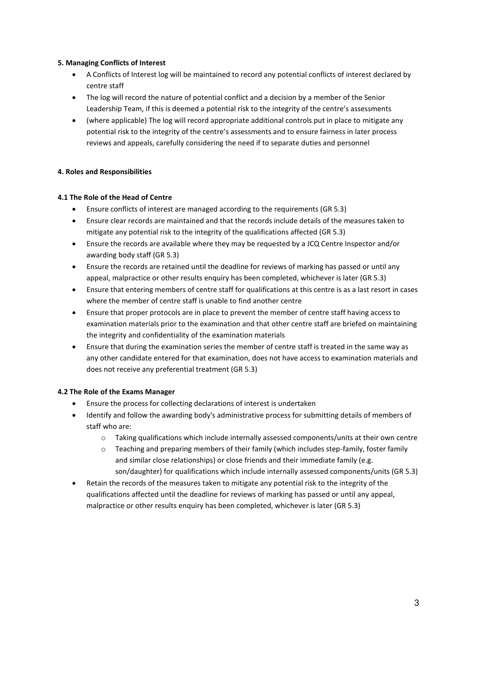#### **5. Managing Conflicts of Interest**

- A Conflicts of Interest log will be maintained to record any potential conflicts of interest declared by centre staff
- The log will record the nature of potential conflict and a decision by a member of the Senior Leadership Team, if this is deemed a potential risk to the integrity of the centre's assessments
- (where applicable) The log will record appropriate additional controls put in place to mitigate any potential risk to the integrity of the centre's assessments and to ensure fairness in later process reviews and appeals, carefully considering the need if to separate duties and personnel

#### **4. Roles and Responsibilities**

#### **4.1 The Role of the Head of Centre**

- Ensure conflicts of interest are managed according to the requirements (GR 5.3)
- Ensure clear records are maintained and that the records include details of the measures taken to mitigate any potential risk to the integrity of the qualifications affected (GR 5.3)
- Ensure the records are available where they may be requested by a JCQ Centre Inspector and/or awarding body staff (GR 5.3)
- Ensure the records are retained until the deadline for reviews of marking has passed or until any appeal, malpractice or other results enquiry has been completed, whichever is later (GR 5.3)
- Ensure that entering members of centre staff for qualifications at this centre is as a last resort in cases where the member of centre staff is unable to find another centre
- Ensure that proper protocols are in place to prevent the member of centre staff having access to examination materials prior to the examination and that other centre staff are briefed on maintaining the integrity and confidentiality of the examination materials
- Ensure that during the examination series the member of centre staff is treated in the same way as any other candidate entered for that examination, does not have access to examination materials and does not receive any preferential treatment (GR 5.3)

#### **4.2 The Role of the Exams Manager**

- Ensure the process for collecting declarations of interest is undertaken
- Identify and follow the awarding body's administrative process for submitting details of members of staff who are:
	- o Taking qualifications which include internally assessed components/units at their own centre
	- $\circ$  Teaching and preparing members of their family (which includes step-family, foster family and similar close relationships) or close friends and their immediate family (e.g. son/daughter) for qualifications which include internally assessed components/units (GR 5.3)
- Retain the records of the measures taken to mitigate any potential risk to the integrity of the qualifications affected until the deadline for reviews of marking has passed or until any appeal, malpractice or other results enquiry has been completed, whichever is later (GR 5.3)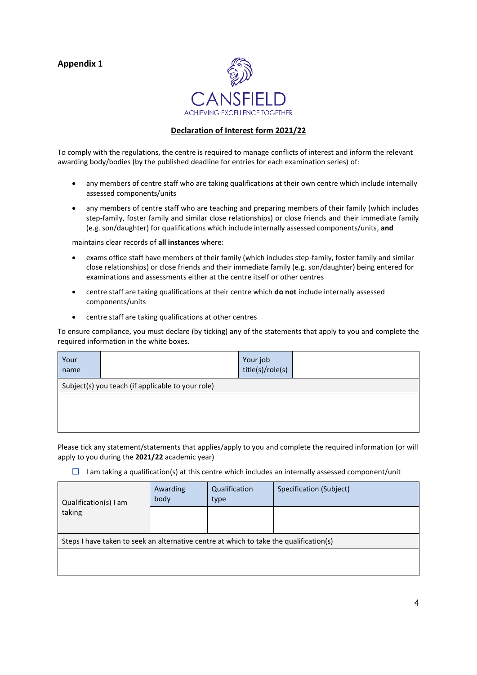### **Appendix 1**



#### **Declaration of Interest form 2021/22**

To comply with the regulations, the centre is required to manage conflicts of interest and inform the relevant awarding body/bodies (by the published deadline for entries for each examination series) of:

- any members of centre staff who are taking qualifications at their own centre which include internally assessed components/units
- any members of centre staff who are teaching and preparing members of their family (which includes step-family, foster family and similar close relationships) or close friends and their immediate family (e.g. son/daughter) for qualifications which include internally assessed components/units, **and**

maintains clear records of **all instances** where:

- exams office staff have members of their family (which includes step-family, foster family and similar close relationships) or close friends and their immediate family (e.g. son/daughter) being entered for examinations and assessments either at the centre itself or other centres
- centre staff are taking qualifications at their centre which **do not** include internally assessed components/units
- centre staff are taking qualifications at other centres

To ensure compliance, you must declare (by ticking) any of the statements that apply to you and complete the required information in the white boxes.

| Your<br>name |                                                   | Your job<br>title(s)/role(s) |  |
|--------------|---------------------------------------------------|------------------------------|--|
|              | Subject(s) you teach (if applicable to your role) |                              |  |
|              |                                                   |                              |  |
|              |                                                   |                              |  |
|              |                                                   |                              |  |

Please tick any statement/statements that applies/apply to you and complete the required information (or will apply to you during the **2021/22** academic year)

 $\Box$  I am taking a qualification(s) at this centre which includes an internally assessed component/unit

| Qualification(s) I am<br>taking                                                        | Awarding<br>body | Qualification<br>type | Specification (Subject) |
|----------------------------------------------------------------------------------------|------------------|-----------------------|-------------------------|
|                                                                                        |                  |                       |                         |
| Steps I have taken to seek an alternative centre at which to take the qualification(s) |                  |                       |                         |
|                                                                                        |                  |                       |                         |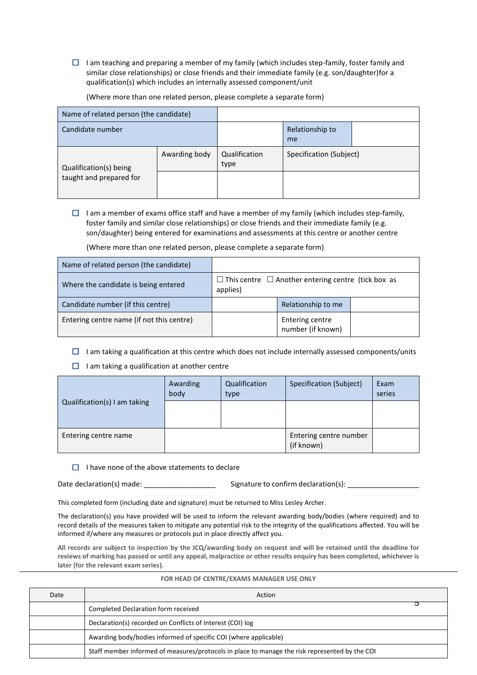$\Box$  I am teaching and preparing a member of my family (which includes step-family, foster family and similar close relationships) or close friends and their immediate family (e.g. son/daughter)for a qualification(s) which includes an internally assessed component/unit

Name of related person (the candidate) Candidate number **Relationship to Relationship to** me Qualification(s) being taught and prepared for Awarding body Qualification type Specification (Subject)

(Where more than one related person, please complete a separate form)

 $\Box$  I am a member of exams office staff and have a member of my family (which includes step-family, foster family and similar close relationships) or close friends and their immediate family (e.g. son/daughter) being entered for examinations and assessments at this centre or another centre

(Where more than one related person, please complete a separate form)

| Name of related person (the candidate)    |                                                                            |                                      |  |
|-------------------------------------------|----------------------------------------------------------------------------|--------------------------------------|--|
| Where the candidate is being entered      | $\Box$ This centre $\Box$ Another entering centre (tick box as<br>applies) |                                      |  |
| Candidate number (if this centre)         |                                                                            | Relationship to me                   |  |
| Entering centre name (if not this centre) |                                                                            | Entering centre<br>number (if known) |  |

- $\Box$  I am taking a qualification at this centre which does not include internally assessed components/units
- $\Box$  I am taking a qualification at another centre

| Qualification(s) I am taking | Awarding<br>body | Qualification<br>type | Specification (Subject)              | Exam<br>series |
|------------------------------|------------------|-----------------------|--------------------------------------|----------------|
|                              |                  |                       |                                      |                |
| Entering centre name         |                  |                       | Entering centre number<br>(if known) |                |

 $\Box$  I have none of the above statements to declare

Date declaration(s) made:  $\Box$  Signature to confirm declaration(s):

This completed form (including date and signature) must be returned to Miss Lesley Archer.

The declaration(s) you have provided will be used to inform the relevant awarding body/bodies (where required) and to record details of the measures taken to mitigate any potential risk to the integrity of the qualifications affected. You will be informed if/where any measures or protocols put in place directly affect you.

**All records are subject to inspection by the JCQ/awarding body on request and will be retained until the deadline for reviews of marking has passed or until any appeal, malpractice or other results enquiry has been completed, whichever is later (for the relevant exam series).**

| Date | Action                                                                                         |
|------|------------------------------------------------------------------------------------------------|
|      | Completed Declaration form received                                                            |
|      | Declaration(s) recorded on Conflicts of Interest (COI) log                                     |
|      | Awarding body/bodies informed of specific COI (where applicable)                               |
|      | Staff member informed of measures/protocols in place to manage the risk represented by the COI |

#### **FOR HEAD OF CENTRE/EXAMS MANAGER USE ONLY**